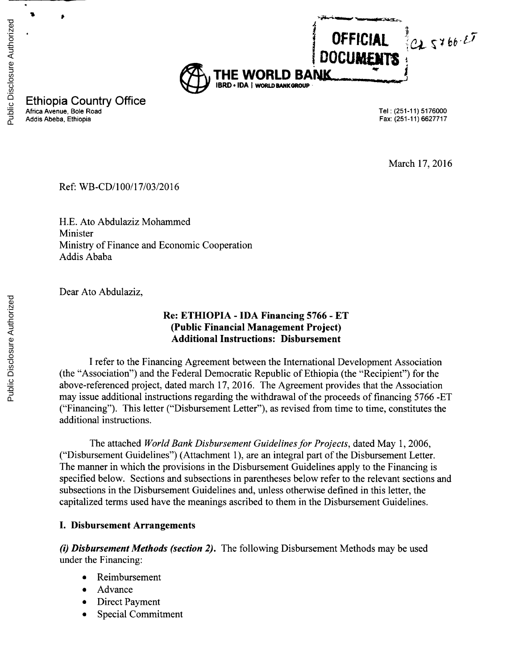

Ethiopia Country Office Africa Avenue, Bole Road Tel: **(251-11)** 5176000 Addis Abeba, Ethiopia

March **17, 2016**

Ref: **WB-CD/100/17/03/2016**

**H.E.** Ato Abdulaziz Mohammed Minister Ministry of Finance and Economic Cooperation Addis Ababa

Dear Ato Abdulaziz,

## **Re: ETHIOPIA - IDA Financing 5766 - ET (Public Financial Management Project) Additional Instructions: Disbursement**

**I** refer to the Financing Agreement between the International Development Association (the "Association") and the Federal Democratic Republic of Ethiopia (the "Recipient") for the above-referenced project, dated march **17, 2016.** The Agreement provides that the Association may issue additional instructions regarding the withdrawal of the proceeds of financing **5766 -ET** ("Financing"). This letter ("Disbursement Letter"), as revised from time to time, constitutes the additional instructions.

The attached *World Bank Disbursement Guidelines for Projects,* dated May **1, 2006,** ("Disbursement Guidelines") (Attachment **1),** are an integral part of the Disbursement Letter. The manner in which the provisions in the Disbursement Guidelines apply to the Financing is specified below. Sections and subsections in parentheses below refer to the relevant sections and subsections in the Disbursement Guidelines and, unless otherwise defined in this letter, the capitalized terms used have the meanings ascribed to them in the Disbursement Guidelines.

#### **I. Disbursement Arrangements**

*(i) Disbursement Methods (section 2).* The following Disbursement Methods may be used under the Financing:

- Reimbursement
- Advance
- Direct Payment
- Special Commitment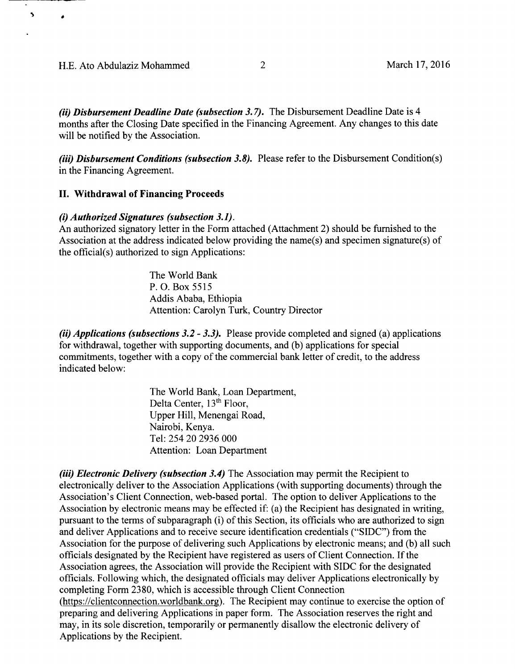$\blacktriangleright$ 

 $\bullet$ 

*(ii) Disbursement Deadline Date (subsection 3.7).* The Disbursement Deadline Date is 4 months after the Closing Date specified in the Financing Agreement. Any changes to this date will be notified **by** the Association.

*(iii) Disbursement Conditions (subsection 3.8).* Please refer to the Disbursement Condition(s) in the Financing Agreement.

#### **II. Withdrawal of Financing Proceeds**

#### *(i) Authorized Signatures (subsection 3.1).*

An authorized signatory letter in the Form attached (Attachment 2) should be furnished to the Association at the address indicated below providing the name(s) and specimen signature(s) of the official(s) authorized to sign Applications:

> The World Bank P. **0.** Box *5515* Addis Ababa, Ethiopia Attention: Carolyn Turk, Country Director

*(ii) Applications (subsections 3.2* **-** *3.3).* Please provide completed and signed (a) applications for withdrawal, together with supporting documents, and **(b)** applications for special commitments, together with a copy of the commercial bank letter of credit, to the address indicated below:

> The World Bank, Loan Department, Delta Center, 13<sup>th</sup> Floor, Upper Hill, Menengai Road, Nairobi, Kenya. Tel: 254 20 **2936 000** Attention: Loan Department

*(iii) Electronic Delivery (subsection 3.4)* The Association may permit the Recipient to electronically deliver to the Association Applications (with supporting documents) through the Association's Client Connection, web-based portal. The option to deliver Applications to the Association **by** electronic means may be effected if: (a) the Recipient has designated in writing, pursuant to the terms of subparagraph (i) of this Section, its officials who are authorized to sign and deliver Applications and to receive secure identification credentials **("SIDC")** from the Association for the purpose of delivering such Applications **by** electronic means; and **(b)** all such officials designated **by** the Recipient have registered as users of Client Connection. **If** the Association agrees, the Association will provide the Recipient with SIDC for the designated officials. Following which, the designated officials may deliver Applications electronically **by** completing Form **2380,** which is accessible through Client Connection (https://clientconnection.worldbank.org). The Recipient may continue to exercise the option of preparing and delivering Applications in paper form. The Association reserves the right and may, in its sole discretion, temporarily or permanently disallow the electronic delivery of Applications **by** the Recipient.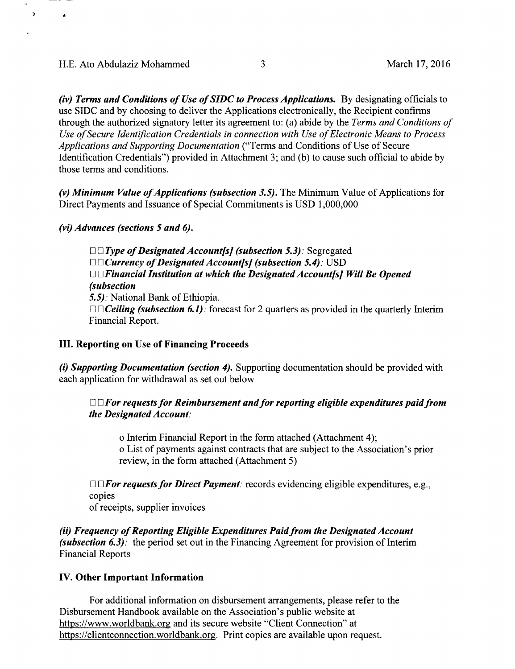*A*

 $\lambda$ 

*(iv) Terms and Conditions of Use of SIDC to Process Applications.* **By** designating officials to use **SIDC** and **by** choosing to deliver the Applications electronically, the Recipient confirms through the authorized signatory letter its agreement to: (a) abide **by** the *Terms and Conditions of Use ofSecure Identification Credentials in connection with Use of Electronic Means to Process Applications and Supporting Documentation* ("Terms and Conditions of Use of Secure Identification Credentials") provided in Attachment **3;** and **(b)** to cause such official to abide **by** those terms and conditions.

(v) Minimum Value of Applications (subsection 3.5). The Minimum Value of Applications for Direct Payments and Issuance of Special Commitments is **USD 1,000,000**

*(vi) Advances (sections 5 and 6).*

0 *0 Type of Designated Account/s] (subsection 5.3):* Segregated *D* □ *Currency of Designated Account[s] (subsection 5.4):* USD *0 0]Financial Institution at which the Designated Account/s] Will Be Opened (subsection 5.5).* National Bank of Ethiopia.

□□ *Ceiling (subsection 6.1)*: forecast for 2 quarters as provided in the quarterly Interim Financial Report.

#### **III. Reporting on Use of Financing Proceeds**

*(i) Supporting Documentation (section 4).* Supporting documentation should be provided with each application for withdrawal as set out below

## *l* 0 *For requests for Reimbursement and for reporting eligible expenditures paid from the Designated Account.*

o Interim Financial Report in the form attached (Attachment 4); o List of payments against contracts that are subject to the Association's prior review, in the form attached (Attachment *5)*

□ *For requests for Direct Payment:* records evidencing eligible expenditures, e.g., copies

of receipts, supplier invoices

*(ii) Frequency of Reporting Eligible Expenditures Paid from the Designated Account (subsection 6.3):* the period set out in the Financing Agreement for provision of Interim Financial Reports

#### **IV. Other Important Information**

For additional information on disbursement arrangements, please refer to the Disbursement Handbook available on the Association's public website at https://www.worldbank.org and its secure website "Client Connection" at https://clientconnection.worldbank.org. Print copies are available upon request.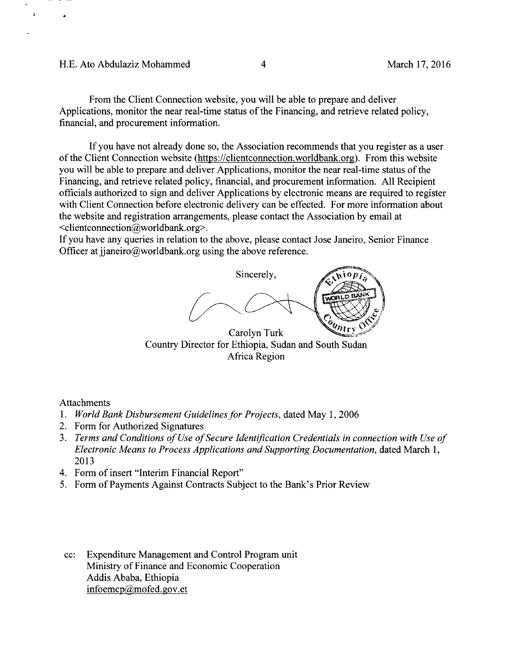#### **H.E.** Ato Abdulaziz Mohammed 4 March **17, 2016**

h

From the Client Connection website, you will be able to prepare and deliver Applications, monitor the near real-time status of the Financing, and retrieve related policy, financial, and procurement information.

**If** you have not already done so, the Association recommends that you register as a user of the Client Connection website (https://clientconnection.worldbank.org). From this website you will be able to prepare and deliver Applications, monitor the near real-time status of the Financing, and retrieve related policy, financial, and procurement information. **All** Recipient officials authorized to sign and deliver Applications **by** electronic means are required to register with Client Connection before electronic delivery can be effected. For more information about the website and registration arrangements, please contact the Association **by** email at <clientconnection@worldbank.org>.

**If** you have any queries in relation to the above, please contact Jose Janeiro, Senior Finance Officer at jianeiro@worldbank.org using the above reference.



Country Director for Ethiopia, Sudan and South Sudan Africa Region

Attachments

- **1.** *World Bank Disbursement Guidelines for Projects,* dated May **1, 2006**
- 2. Form for Authorized Signatures
- **3.** *Terms and Conditions of Use of Secure Identification Credentials in connection with Use of Electronic Means to Process Applications and Supporting Documentation,* dated March **1, 2013**
- 4. Form of insert "Interim Financial Report"
- *5.* Form of Payments Against Contracts Subject to the Bank's Prior Review
- cc: Expenditure Management and Control Program unit Ministry of Finance and Economic Cooperation Addis Ababa, Ethiopia infoemcp@mofed.gov.et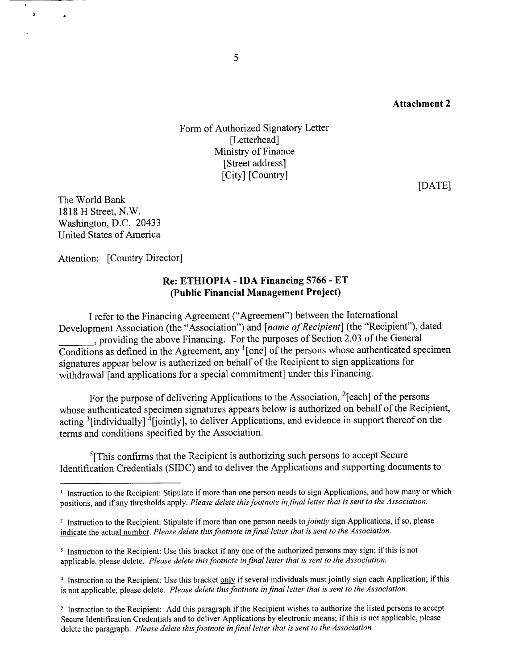Form of Authorized Signatory Letter [Letterhead] Ministry of Finance [Street address] [City] [Country]

**[DATE]**

The World Bank **1818** H Street, N.W. Washington, **D.C.** 20433 United States of America

 $\lambda$ 

 $\ddot{\phantom{a}}$ 

Attention: [Country Director]

#### **Re: ETHIOPIA -IDA Financing 5766 - ET (Public Financial Management Project)**

**I** refer to the Financing Agreement ("Agreement") between the International Development Association (the "Association") and *[name of Recipient]* (the "Recipient"), dated \_\_ **,** providing the above Financing. For the purposes of Section **2.03** of the General Conditions as defined in the Agreement, any '[one] of the persons whose authenticated specimen signatures appear below is authorized on behalf of the Recipient to sign applications for withdrawal [and applications for a special commitment] under this Financing.

For the purpose of delivering Applications to the Association, <sup>2</sup>[each] of the persons whose authenticated specimen signatures appears below is authorized on behalf of the Recipient, acting  $\frac{3}{1}$  [individually]  $\frac{1}{4}$  [iointly], to deliver Applications, and evidence in support thereof on the terms and conditions specified **by** the Association.

<sup>5</sup>[This confirms that the Recipient is authorizing such persons to accept Secure Identification Credentials **(SIDC)** and to deliver the Applications and supporting documents to

4 Instruction to the Recipient: Use this bracket **only** if several individuals must jointly sign each Application; if this is not applicable, please delete. *Please delete this footnote in final letter that is sent to the Association.*

<sup>&</sup>lt;sup>1</sup> Instruction to the Recipient: Stipulate if more than one person needs to sign Applications, and how many or which positions, and if any thresholds apply. *Please delete this footnote in final letter that is sent to the Association.*

<sup>2</sup>Instruction to the Recipient: Stipulate if more than one person needs *to jointly* sign Applications, if so, please indicate the actual number. *Please delete this footnote in final letter that is sent to the Association.*

<sup>&</sup>lt;sup>3</sup> Instruction to the Recipient: Use this bracket if any one of the authorized persons may sign; if this is not applicable, please delete. *Please delete this footnote in final letter that is sent to the Association.*

<sup>&</sup>lt;sup>5</sup> Instruction to the Recipient: Add this paragraph if the Recipient wishes to authorize the listed persons to accept Secure Identification Credentials and to deliver Applications **by** electronic means; if this is not applicable, please delete the paragraph. *Please delete this footnote in final letter that is sent to the Association.*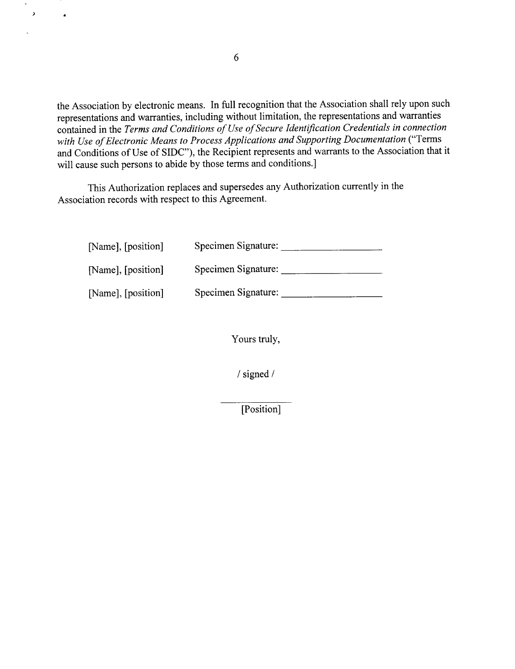the Association **by** electronic means. In full recognition that the Association shall rely upon such representations and warranties, including without limitation, the representations and warranties contained in the *Terms and Conditions of Use of Secure Identification Credentials in connection with Use of Electronic Means to Process Applications and Supporting Documentation ("Terms* and Conditions of Use of **SIDC"),** the Recipient represents and warrants to the Association that it will cause such persons to abide **by** those terms and conditions.]

This Authorization replaces and supersedes any Authorization currently in the Association records with respect to this Agreement.

| [Name], [position] | Specimen Signature: |
|--------------------|---------------------|
| [Name], [position] | Specimen Signature: |
| [Name], [position] | Specimen Signature: |

Yours truly,

/ signed **/**

[Position]

 $\lambda$ 

 $\bullet$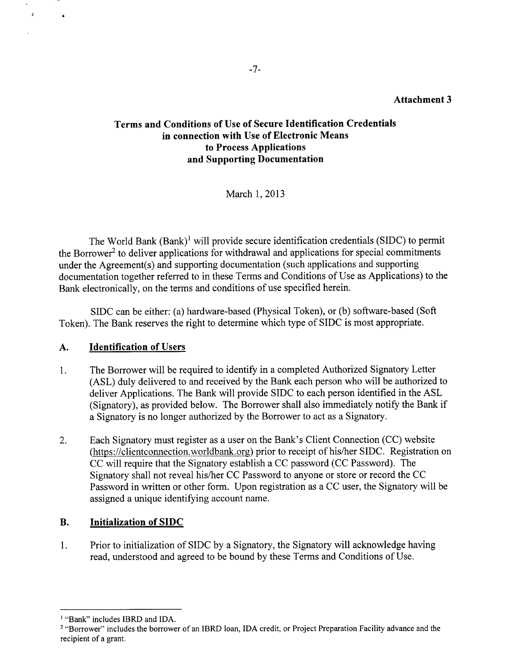## **Terms and Conditions of Use of Secure Identification Credentials in connection with Use of Electronic Means to Process Applications and Supporting Documentation**

March **1, 2013**

The World Bank (Bank)' will provide secure identification credentials **(SIDC)** to permit the Borrower<sup>2</sup> to deliver applications for withdrawal and applications for special commitments under the Agreement(s) and supporting documentation (such applications and supporting documentation together referred to in these Terms and Conditions of Use as Applications) to the Bank electronically, on the terms and conditions of use specified herein.

**SIDC** can be either: (a) hardware-based (Physical Token), or **(b)** software-based (Soft Token). The Bank reserves the right to determine which type of **SIDC** is most appropriate.

## **A. Identification of** Users

 $\lambda$ 

- **1.** The Borrower will be required to identify in a completed Authorized Signatory Letter **(ASL)** duly delivered to and received **by** the Bank each person who will be authorized to deliver Applications. The Bank will provide **SIDC** to each person identified in the **ASL** (Signatory), as provided below. The Borrower shall also immediately notify the Bank if a Signatory is no longer authorized **by** the Borrower to act as a Signatory.
- 2. Each Signatory must register as a user on the Bank's Client Connection **(CC)** website (https://clientconnection.worldbank.org) prior to receipt of his/her **SIDC.** Registration on **CC** will require that the Signatory establish a **CC** password **(CC** Password). The Signatory shall not reveal his/her **CC** Password to anyone or store or record the **CC** Password in written or other form. Upon registration as a **CC** user, the Signatory will be assigned a unique identifying account name.

## B. **Initialization of SIDC**

**1.** Prior to initialization of **SIDC by** a Signatory, the Signatory will acknowledge having read, understood and agreed to be bound **by** these Terms and Conditions of Use.

<sup>&</sup>lt;sup>1</sup> "Bank" includes IBRD and IDA.

<sup>2</sup> "Borrower" includes the borrower of an IBRD loan, **IDA** credit, or Project Preparation Facility advance and the recipient of a grant.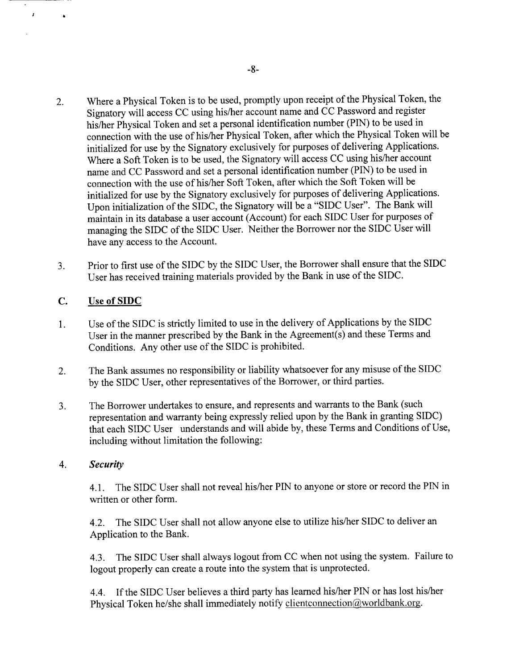- 2. Where a Physical Token is to be used, promptly upon receipt of the Physical Token, the Signatory will access **CC** using his/her account name and **CC** Password and register his/her Physical Token and set a personal identification number **(PIN)** to be used in connection with the use of his/her Physical Token, after which the Physical Token will be initialized for use **by** the Signatory exclusively for purposes of delivering Applications. Where a Soft Token is to be used, the Signatory will access **CC** using his/her account name and **CC** Password and set a personal identification number **(PIN)** to be used in connection with the use of his/her Soft Token, after which the Soft Token will be initialized for use **by** the Signatory exclusively for purposes of delivering Applications. Upon initialization of the **SIDC,** the Signatory will be a **"SIDC** User". The Bank will maintain in its database a user account (Account) for each **SIDC** User for purposes of managing the **SIDC** of the **SIDC** User. Neither the Borrower nor the **SIDC** User will have any access to the Account.
- **3.** Prior to first use of the **SIDC by** the **SIDC** User, the Borrower shall ensure that the **SIDC** User has received training materials provided **by** the Bank in use of the SIDC.

## **C.** Use of **SIDC**

 $\mathbf{I}$ 

 $\bullet$ 

- 1 **.** Use of the **SIDC** is strictly limited to use in the delivery of Applications **by** the **SIDC** User in the manner prescribed **by** the Bank in the Agreement(s) and these Terms and Conditions. Any other use of the **SIDC** is prohibited.
- 2. The Bank assumes no responsibility or liability whatsoever for any misuse of the **SIDC by** the **SIDC** User, other representatives of the Borrower, or third parties.
- **3.** The Borrower undertakes to ensure, and represents and warrants to the Bank (such representation and warranty being expressly relied upon **by** the Bank in granting **SIDC)** that each **SIDC** User understands and will abide **by,** these Terms and Conditions of Use, including without limitation the following:

#### 4. *Security*

**4.1.** The **SIDC** User shall not reveal his/her **PIN** to anyone or store or record the **PIN** in written or other form.

4.2. The **SIDC** User shall not allow anyone else to utilize his/her **SIDC** to deliver an Application to the Bank.

4.3. The **SIDC** User shall always logout from **CC** when not using the system. Failure to logout properly can create a route into the system that is unprotected.

4.4. **If** the **SIDC** User believes a third party has learned his/her **PIN** or has lost his/her Physical Token he/she shall immediately notify clientconnection@worldbank.org.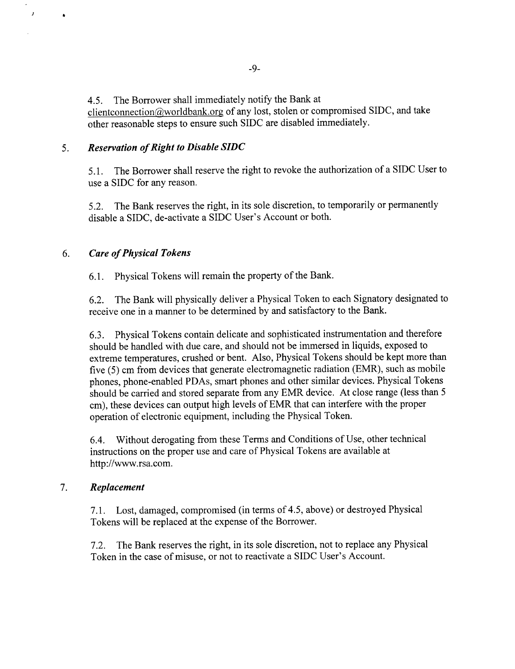4.5. The Borrower shall immediately notify the Bank at clientconnection@worldbank.org of any lost, stolen or compromised SIDC, and take other reasonable steps to ensure such **SIDC** are disabled immediately.

## **5.** *Reservation of Right to Disable SIDC*

*5.1.* The Borrower shall reserve the right to revoke the authorization of a **SIDC** User to use a **SIDC** for any reason.

**5.2.** The Bank reserves the right, in its sole discretion, to temporarily or permanently disable a **SIDC,** de-activate a **SIDC** User's Account or both.

## **6.** *Care of Physical Tokens*

 $\boldsymbol{\lambda}$ 

 $\bullet$ 

**6.1.** Physical Tokens will remain the property of the Bank.

**6.2.** The Bank will physically deliver a Physical Token to each Signatory designated to receive one in a manner to be determined **by** and satisfactory to the Bank.

**6.3.** Physical Tokens contain delicate and sophisticated instrumentation and therefore should be handled with due care, and should not be immersed in liquids, exposed to extreme temperatures, crushed or bent. Also, Physical Tokens should be kept more than five **(5)** cm from devices that generate electromagnetic radiation (EMR), such as mobile phones, phone-enabled PDAs, smart phones and other similar devices. Physical Tokens should be carried and stored separate from any EMR device. At close range (less than **5** cm), these devices can output high levels of EMR that can interfere with the proper operation of electronic equipment, including the Physical Token.

6.4. Without derogating from these Terms and Conditions of Use, other technical instructions on the proper use and care of Physical Tokens are available at http://www.rsa.com.

#### **7.** *Replacement*

**7.1.** Lost, damaged, compromised (in terms of 4.5, above) or destroyed Physical Tokens will be replaced at the expense of the Borrower.

**7.2.** The Bank reserves the right, in its sole discretion, not to replace any Physical Token in the case of misuse, or not to reactivate a **SIDC** User's Account.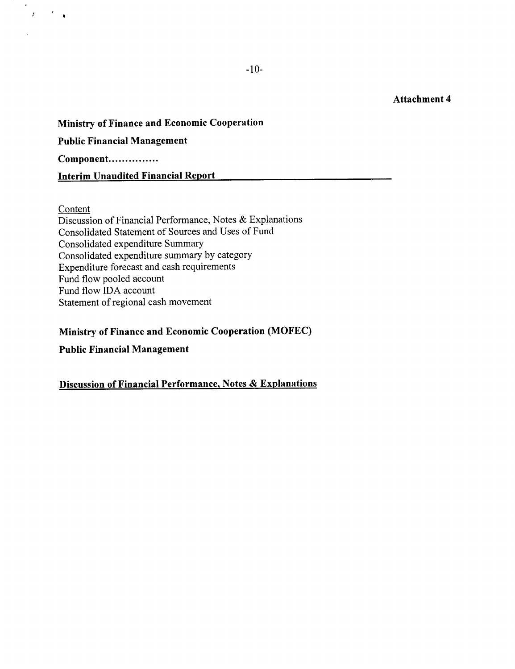**Ministry of Finance and Economic Cooperation Public Financial Management Component............... Interim Unaudited Financial Report**

#### **Content**

 $\mathcal{O}(\mathcal{F})$ 

 $\mathcal{L}$ 

Discussion **of** Financial Performance, Notes **&** Explanations Consolidated Statement of Sources and Uses **of** Fund Consolidated expenditure Summary Consolidated expenditure summary **by** category Expenditure forecast and cash requirements Fund flow pooled account Fund flow **IDA** account Statement of regional cash movement

#### **Ministry of Finance and Economic Cooperation (MOFEC)**

**Public Financial Management**

## **Discussion of Financial Performance, Notes & Explanations**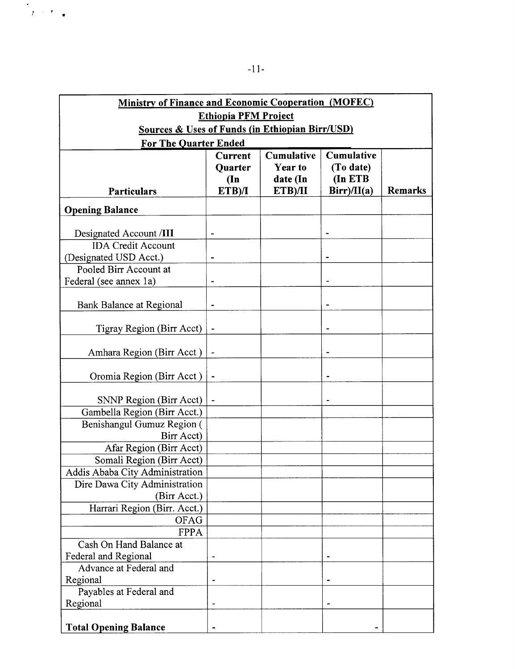| Ministry of Finance and Economic Cooperation (MOFEC)       |                          |                |             |                |  |  |  |  |
|------------------------------------------------------------|--------------------------|----------------|-------------|----------------|--|--|--|--|
| <b>Ethiopia PFM Project</b>                                |                          |                |             |                |  |  |  |  |
| <b>Sources &amp; Uses of Funds (in Ethiopian Birr/USD)</b> |                          |                |             |                |  |  |  |  |
| <b>For The Quarter Ended</b>                               |                          |                |             |                |  |  |  |  |
| <b>Cumulative</b><br>Cumulative<br><b>Current</b>          |                          |                |             |                |  |  |  |  |
|                                                            | <b>Quarter</b>           | <b>Year to</b> | (To date)   |                |  |  |  |  |
|                                                            | $(\mathbf{In}$           | date (In       | (In ETB     |                |  |  |  |  |
| <b>Particulars</b>                                         | ETB)/I                   | ETB)/II        | Birr)/II(a) | <b>Remarks</b> |  |  |  |  |
| <b>Opening Balance</b>                                     |                          |                |             |                |  |  |  |  |
|                                                            |                          |                |             |                |  |  |  |  |
| Designated Account /III                                    | -                        |                |             |                |  |  |  |  |
| <b>IDA Credit Account</b>                                  |                          |                |             |                |  |  |  |  |
| (Designated USD Acct.)                                     |                          |                |             |                |  |  |  |  |
| Pooled Birr Account at                                     |                          |                |             |                |  |  |  |  |
| Federal (see annex 1a)                                     | $\overline{\phantom{0}}$ |                |             |                |  |  |  |  |
|                                                            |                          |                |             |                |  |  |  |  |
| <b>Bank Balance at Regional</b>                            | $\blacksquare$           |                |             |                |  |  |  |  |
| Tigray Region (Birr Acct)                                  |                          |                |             |                |  |  |  |  |
|                                                            |                          |                |             |                |  |  |  |  |
| Amhara Region (Birr Acct)                                  | $\blacksquare$           |                |             |                |  |  |  |  |
|                                                            |                          |                |             |                |  |  |  |  |
| Oromia Region (Birr Acct)                                  | $\blacksquare$           |                |             |                |  |  |  |  |
|                                                            |                          |                |             |                |  |  |  |  |
| <b>SNNP Region (Birr Acct)</b>                             | $\blacksquare$           |                |             |                |  |  |  |  |
| Gambella Region (Birr Acct.)                               |                          |                |             |                |  |  |  |  |
| Benishangul Gumuz Region (                                 |                          |                |             |                |  |  |  |  |
| Birr Acct)                                                 |                          |                |             |                |  |  |  |  |
| Afar Region (Birr Acct)                                    |                          |                |             |                |  |  |  |  |
| Somali Region (Birr Acct)                                  |                          |                |             |                |  |  |  |  |
| Addis Ababa City Administration                            |                          |                |             |                |  |  |  |  |
| Dire Dawa City Administration                              |                          |                |             |                |  |  |  |  |
| (Birr Acct.)                                               |                          |                |             |                |  |  |  |  |
| Harrari Region (Birr. Acct.)                               |                          |                |             |                |  |  |  |  |
| OFAG<br><b>FPPA</b>                                        |                          |                |             |                |  |  |  |  |
| Cash On Hand Balance at                                    |                          |                |             |                |  |  |  |  |
|                                                            |                          |                |             |                |  |  |  |  |
| Federal and Regional<br>Advance at Federal and             |                          |                |             |                |  |  |  |  |
| Regional                                                   |                          |                |             |                |  |  |  |  |
| Payables at Federal and                                    |                          |                |             |                |  |  |  |  |
| Regional                                                   |                          |                |             |                |  |  |  |  |
|                                                            |                          |                |             |                |  |  |  |  |
| <b>Total Opening Balance</b>                               |                          |                |             |                |  |  |  |  |

 $\frac{1}{\sqrt{2}}$  ,  $\frac{1}{\sqrt{2}}$  ,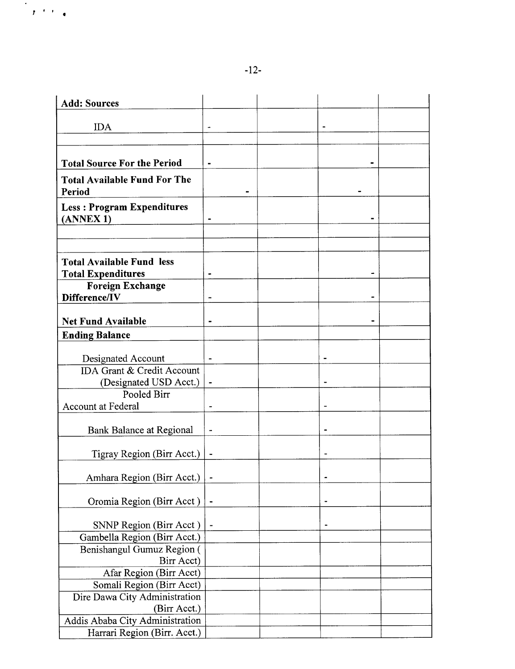$\frac{1}{\sqrt{2}}\int_{0}^{\infty}\frac{1}{2}e^{-\frac{1}{2}x}e^{-\frac{1}{2}x}dx$ 

| <b>Add: Sources</b>                                  |   |  |  |
|------------------------------------------------------|---|--|--|
|                                                      |   |  |  |
| <b>IDA</b>                                           |   |  |  |
|                                                      |   |  |  |
| <b>Total Source For the Period</b>                   |   |  |  |
| <b>Total Available Fund For The</b>                  |   |  |  |
| Period                                               |   |  |  |
| <b>Less: Program Expenditures</b>                    |   |  |  |
| (ANNEX 1)                                            |   |  |  |
|                                                      |   |  |  |
|                                                      |   |  |  |
|                                                      |   |  |  |
| <b>Total Available Fund less</b>                     |   |  |  |
| <b>Total Expenditures</b><br><b>Foreign Exchange</b> |   |  |  |
| Difference/IV                                        | ۰ |  |  |
|                                                      |   |  |  |
| <b>Net Fund Available</b>                            |   |  |  |
| <b>Ending Balance</b>                                |   |  |  |
|                                                      |   |  |  |
| Designated Account                                   |   |  |  |
| IDA Grant & Credit Account                           |   |  |  |
| (Designated USD Acct.)                               |   |  |  |
| Pooled Birr                                          |   |  |  |
| Account at Federal                                   |   |  |  |
|                                                      |   |  |  |
| <b>Bank Balance at Regional</b>                      | ÷ |  |  |
| Tigray Region (Birr Acct.)                           |   |  |  |
|                                                      |   |  |  |
| Amhara Region (Birr Acct.)                           |   |  |  |
|                                                      |   |  |  |
| Oromia Region (Birr Acct)                            |   |  |  |
|                                                      |   |  |  |
| SNNP Region (Birr Acct)                              |   |  |  |
| Gambella Region (Birr Acct.)                         |   |  |  |
| Benishangul Gumuz Region (                           |   |  |  |
| Birr Acct)                                           |   |  |  |
| Afar Region (Birr Acct)                              |   |  |  |
| Somali Region (Birr Acct)                            |   |  |  |
| Dire Dawa City Administration<br>(Birr Acct.)        |   |  |  |
| Addis Ababa City Administration                      |   |  |  |
| Harrari Region (Birr. Acct.)                         |   |  |  |
|                                                      |   |  |  |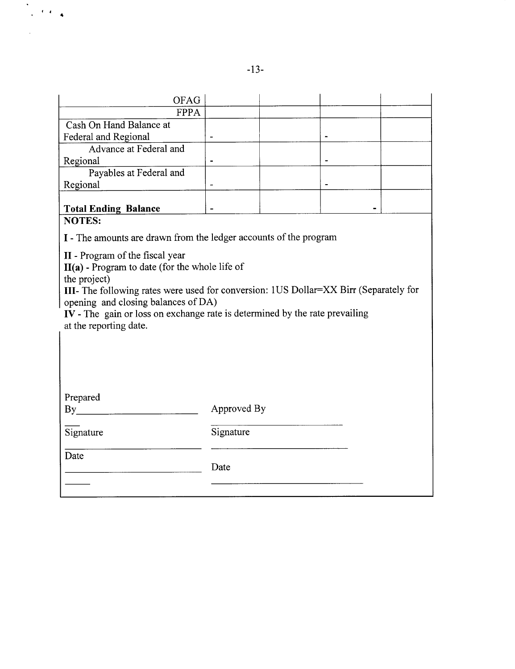| OFAG                                                                                  |             |  |  |  |  |  |
|---------------------------------------------------------------------------------------|-------------|--|--|--|--|--|
| <b>FPPA</b>                                                                           |             |  |  |  |  |  |
| Cash On Hand Balance at                                                               |             |  |  |  |  |  |
| Federal and Regional                                                                  |             |  |  |  |  |  |
| Advance at Federal and                                                                |             |  |  |  |  |  |
| Regional                                                                              |             |  |  |  |  |  |
| Payables at Federal and                                                               |             |  |  |  |  |  |
| Regional                                                                              |             |  |  |  |  |  |
|                                                                                       |             |  |  |  |  |  |
| <b>Total Ending Balance</b>                                                           |             |  |  |  |  |  |
| <b>NOTES:</b>                                                                         |             |  |  |  |  |  |
| I - The amounts are drawn from the ledger accounts of the program                     |             |  |  |  |  |  |
|                                                                                       |             |  |  |  |  |  |
| II - Program of the fiscal year                                                       |             |  |  |  |  |  |
| II(a) - Program to date (for the whole life of                                        |             |  |  |  |  |  |
| the project)                                                                          |             |  |  |  |  |  |
| III- The following rates were used for conversion: 1US Dollar=XX Birr (Separately for |             |  |  |  |  |  |
| opening and closing balances of DA)                                                   |             |  |  |  |  |  |
| IV - The gain or loss on exchange rate is determined by the rate prevailing           |             |  |  |  |  |  |
| at the reporting date.                                                                |             |  |  |  |  |  |
|                                                                                       |             |  |  |  |  |  |
|                                                                                       |             |  |  |  |  |  |
|                                                                                       |             |  |  |  |  |  |
|                                                                                       |             |  |  |  |  |  |
|                                                                                       |             |  |  |  |  |  |
| Prepared                                                                              |             |  |  |  |  |  |
| $\mathbf{B} \mathbf{y}$                                                               | Approved By |  |  |  |  |  |
|                                                                                       |             |  |  |  |  |  |
| Signature                                                                             | Signature   |  |  |  |  |  |
|                                                                                       |             |  |  |  |  |  |
| Date                                                                                  |             |  |  |  |  |  |
|                                                                                       | Date        |  |  |  |  |  |
|                                                                                       |             |  |  |  |  |  |
|                                                                                       |             |  |  |  |  |  |

 $\frac{1}{\sqrt{2}}$ 

 $\langle\langle\cdot\rangle\rangle_{\rm c}$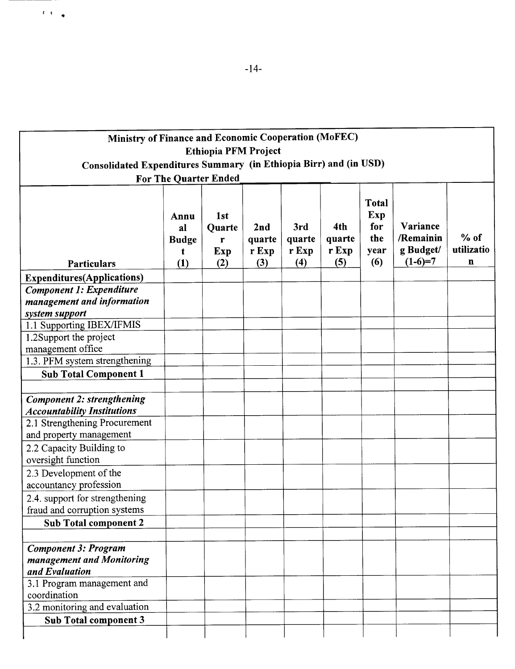| Ministry of Finance and Economic Cooperation (MoFEC)<br><b>Ethiopia PFM Project</b><br>Consolidated Expenditures Summary (in Ethiopia Birr) and (in USD) |                                                  |                                              |                               |                               |                               |                                                  |                                                 |                                     |
|----------------------------------------------------------------------------------------------------------------------------------------------------------|--------------------------------------------------|----------------------------------------------|-------------------------------|-------------------------------|-------------------------------|--------------------------------------------------|-------------------------------------------------|-------------------------------------|
|                                                                                                                                                          |                                                  | For The Quarter Ended                        |                               |                               |                               |                                                  |                                                 |                                     |
| Particulars                                                                                                                                              | Annu<br>al<br><b>Budge</b><br>$\mathbf t$<br>(1) | 1 <sub>st</sub><br>Quarte<br>r<br>Exp<br>(2) | 2nd<br>quarte<br>r Exp<br>(3) | 3rd<br>quarte<br>r Exp<br>(4) | 4th<br>quarte<br>r Exp<br>(5) | <b>Total</b><br>Exp<br>for<br>the<br>year<br>(6) | Variance<br>/Remainin<br>g Budget/<br>$(1-6)=7$ | $%$ of<br>utilizatio<br>$\mathbf n$ |
| <b>Expenditures</b> (Applications)                                                                                                                       |                                                  |                                              |                               |                               |                               |                                                  |                                                 |                                     |
| <b>Component 1: Expenditure</b><br>management and information<br>system support                                                                          |                                                  |                                              |                               |                               |                               |                                                  |                                                 |                                     |
| 1.1 Supporting IBEX/IFMIS                                                                                                                                |                                                  |                                              |                               |                               |                               |                                                  |                                                 |                                     |
| 1.2Support the project<br>management office                                                                                                              |                                                  |                                              |                               |                               |                               |                                                  |                                                 |                                     |
| 1.3. PFM system strengthening                                                                                                                            |                                                  |                                              |                               |                               |                               |                                                  |                                                 |                                     |
| <b>Sub Total Component 1</b>                                                                                                                             |                                                  |                                              |                               |                               |                               |                                                  |                                                 |                                     |
| <b>Component 2: strengthening</b><br><b>Accountability Institutions</b>                                                                                  |                                                  |                                              |                               |                               |                               |                                                  |                                                 |                                     |
| 2.1 Strengthening Procurement<br>and property management                                                                                                 |                                                  |                                              |                               |                               |                               |                                                  |                                                 |                                     |
| 2.2 Capacity Building to<br>oversight function                                                                                                           |                                                  |                                              |                               |                               |                               |                                                  |                                                 |                                     |
| 2.3 Development of the<br>accountancy profession                                                                                                         |                                                  |                                              |                               |                               |                               |                                                  |                                                 |                                     |
| 2.4. support for strengthening<br>fraud and corruption systems                                                                                           |                                                  |                                              |                               |                               |                               |                                                  |                                                 |                                     |
| Sub Total component 2                                                                                                                                    |                                                  |                                              |                               |                               |                               |                                                  |                                                 |                                     |
|                                                                                                                                                          |                                                  |                                              |                               |                               |                               |                                                  |                                                 |                                     |
| <b>Component 3: Program</b><br>management and Monitoring<br>and Evaluation                                                                               |                                                  |                                              |                               |                               |                               |                                                  |                                                 |                                     |
| 3.1 Program management and<br>coordination                                                                                                               |                                                  |                                              |                               |                               |                               |                                                  |                                                 |                                     |
| 3.2 monitoring and evaluation                                                                                                                            |                                                  |                                              |                               |                               |                               |                                                  |                                                 |                                     |
| Sub Total component 3                                                                                                                                    |                                                  |                                              |                               |                               |                               |                                                  |                                                 |                                     |
|                                                                                                                                                          |                                                  |                                              |                               |                               |                               |                                                  |                                                 |                                     |

 $\mathbf{C} \in \mathbb{C}$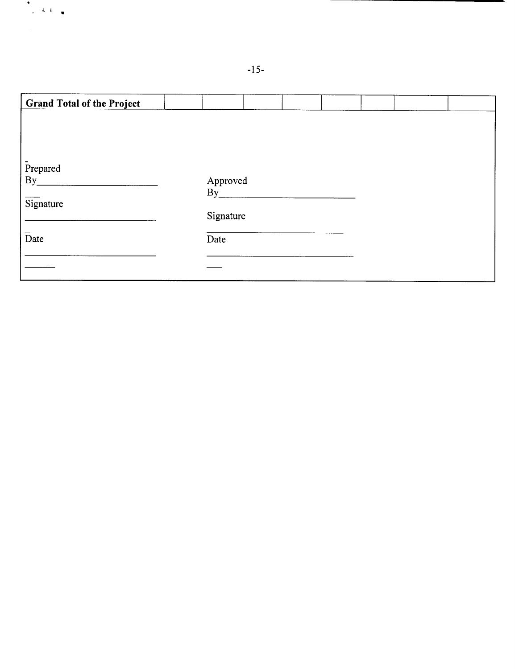| <b>Grand Total of the Project</b> |           |  |  |  |
|-----------------------------------|-----------|--|--|--|
|                                   |           |  |  |  |
|                                   |           |  |  |  |
|                                   |           |  |  |  |
| Prepared                          |           |  |  |  |
| By                                | Approved  |  |  |  |
| Signature                         | By        |  |  |  |
|                                   | Signature |  |  |  |
|                                   |           |  |  |  |
| Date                              | Date      |  |  |  |
|                                   |           |  |  |  |
|                                   |           |  |  |  |

*-15-*

 $\begin{array}{c} \bullet \\ \bullet \\ \bullet \end{array} \qquad \begin{array}{c} \bullet \\ \bullet \end{array} \qquad \begin{array}{c} \bullet \\ \bullet \end{array}$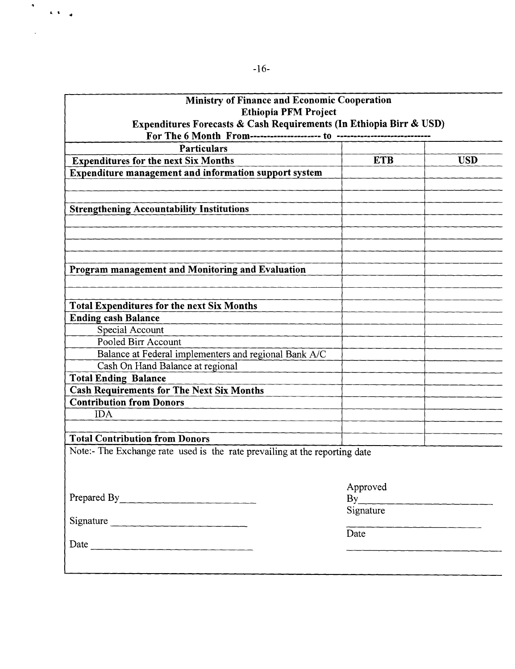|                                                                            | Ministry of Finance and Economic Cooperation |            |  |  |  |  |  |
|----------------------------------------------------------------------------|----------------------------------------------|------------|--|--|--|--|--|
| <b>Ethiopia PFM Project</b>                                                |                                              |            |  |  |  |  |  |
| Expenditures Forecasts & Cash Requirements (In Ethiopia Birr & USD)        |                                              |            |  |  |  |  |  |
| <b>Particulars</b>                                                         |                                              |            |  |  |  |  |  |
| <b>Expenditures for the next Six Months</b>                                | <b>ETB</b>                                   | <b>USD</b> |  |  |  |  |  |
| Expenditure management and information support system                      |                                              |            |  |  |  |  |  |
|                                                                            |                                              |            |  |  |  |  |  |
|                                                                            |                                              |            |  |  |  |  |  |
| <b>Strengthening Accountability Institutions</b>                           |                                              |            |  |  |  |  |  |
|                                                                            |                                              |            |  |  |  |  |  |
|                                                                            |                                              |            |  |  |  |  |  |
|                                                                            |                                              |            |  |  |  |  |  |
|                                                                            |                                              |            |  |  |  |  |  |
| Program management and Monitoring and Evaluation                           |                                              |            |  |  |  |  |  |
|                                                                            |                                              |            |  |  |  |  |  |
|                                                                            |                                              |            |  |  |  |  |  |
| <b>Total Expenditures for the next Six Months</b>                          |                                              |            |  |  |  |  |  |
| <b>Ending cash Balance</b>                                                 |                                              |            |  |  |  |  |  |
| Special Account                                                            |                                              |            |  |  |  |  |  |
| Pooled Birr Account                                                        |                                              |            |  |  |  |  |  |
| Balance at Federal implementers and regional Bank A/C                      |                                              |            |  |  |  |  |  |
| Cash On Hand Balance at regional                                           |                                              |            |  |  |  |  |  |
| <b>Total Ending Balance</b>                                                |                                              |            |  |  |  |  |  |
| <b>Cash Requirements for The Next Six Months</b>                           |                                              |            |  |  |  |  |  |
| <b>Contribution from Donors</b>                                            |                                              |            |  |  |  |  |  |
| <b>IDA</b>                                                                 |                                              |            |  |  |  |  |  |
|                                                                            |                                              |            |  |  |  |  |  |
| <b>Total Contribution from Donors</b>                                      |                                              |            |  |  |  |  |  |
| Note:- The Exchange rate used is the rate prevailing at the reporting date |                                              |            |  |  |  |  |  |
|                                                                            |                                              |            |  |  |  |  |  |
|                                                                            |                                              |            |  |  |  |  |  |
|                                                                            | Approved                                     |            |  |  |  |  |  |
| Prepared By                                                                | By                                           |            |  |  |  |  |  |
|                                                                            | Signature                                    |            |  |  |  |  |  |
| Signature                                                                  | Date                                         |            |  |  |  |  |  |
|                                                                            |                                              |            |  |  |  |  |  |
|                                                                            |                                              |            |  |  |  |  |  |
|                                                                            |                                              |            |  |  |  |  |  |

þ

 $\hat{\mathbf{L}}=\hat{\mathbf{S}}$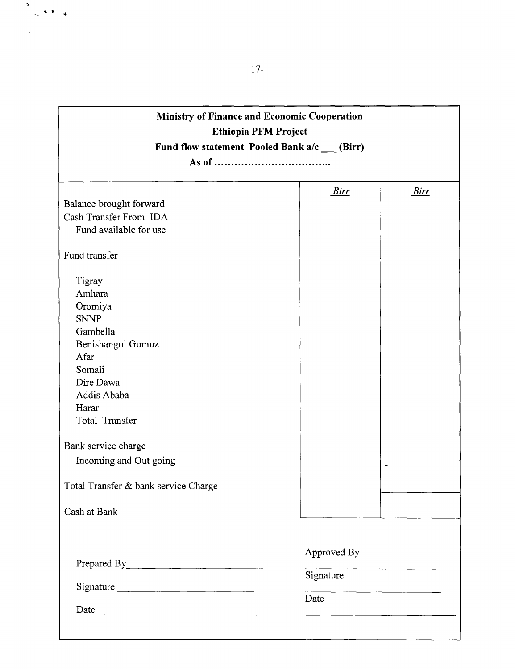| Ministry of Finance and Economic Cooperation<br><b>Ethiopia PFM Project</b><br>Fund flow statement Pooled Bank a/c __ (Birr)                         |                          |                                                        |  |  |  |  |
|------------------------------------------------------------------------------------------------------------------------------------------------------|--------------------------|--------------------------------------------------------|--|--|--|--|
|                                                                                                                                                      |                          |                                                        |  |  |  |  |
| Balance brought forward<br>Cash Transfer From IDA<br>Fund available for use                                                                          | <u>Birr</u>              | <u>Birr</u>                                            |  |  |  |  |
| Fund transfer                                                                                                                                        |                          |                                                        |  |  |  |  |
| Tigray<br>Amhara<br>Oromiya<br><b>SNNP</b><br>Gambella<br>Benishangul Gumuz<br>Afar<br>Somali<br>Dire Dawa<br>Addis Ababa<br>Harar<br>Total Transfer |                          |                                                        |  |  |  |  |
| Bank service charge                                                                                                                                  |                          |                                                        |  |  |  |  |
| Incoming and Out going<br>Total Transfer & bank service Charge<br>Cash at Bank                                                                       |                          |                                                        |  |  |  |  |
|                                                                                                                                                      |                          |                                                        |  |  |  |  |
| Signature                                                                                                                                            | Approved By<br>Signature | <u> 1980 - Jan James Stein, amerikansk politiker (</u> |  |  |  |  |
|                                                                                                                                                      | Date                     |                                                        |  |  |  |  |
|                                                                                                                                                      |                          |                                                        |  |  |  |  |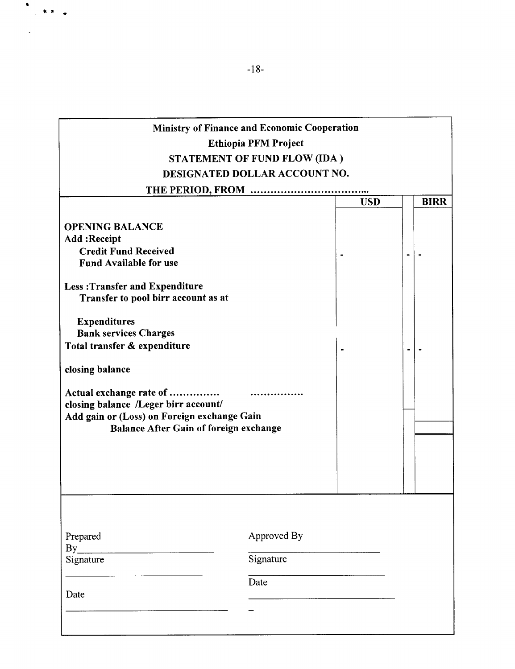# Ministry of Finance and Economic Cooperation Ethiopia PFM Project **STATEMENT** OF **FUND** FLOW **(IDA) DESIGNATED** DOLLAR **ACCOUNT NO.**

|                                                                                                                                                          |                                  | <b>USD</b> | <b>BIRR</b>    |  |  |
|----------------------------------------------------------------------------------------------------------------------------------------------------------|----------------------------------|------------|----------------|--|--|
| <b>OPENING BALANCE</b><br>Add : Receipt<br><b>Credit Fund Received</b><br><b>Fund Available for use</b>                                                  |                                  |            |                |  |  |
| <b>Less: Transfer and Expenditure</b><br>Transfer to pool birr account as at                                                                             |                                  |            |                |  |  |
| <b>Expenditures</b><br><b>Bank services Charges</b><br>Total transfer & expenditure                                                                      |                                  |            | $\blacksquare$ |  |  |
| closing balance                                                                                                                                          |                                  |            |                |  |  |
| Actual exchange rate of<br>closing balance /Leger birr account/<br>Add gain or (Loss) on Foreign exchange Gain<br>Balance After Gain of foreign exchange |                                  |            |                |  |  |
| Prepared<br>By<br>Signature<br>Date                                                                                                                      | Approved By<br>Signature<br>Date |            |                |  |  |
|                                                                                                                                                          |                                  |            |                |  |  |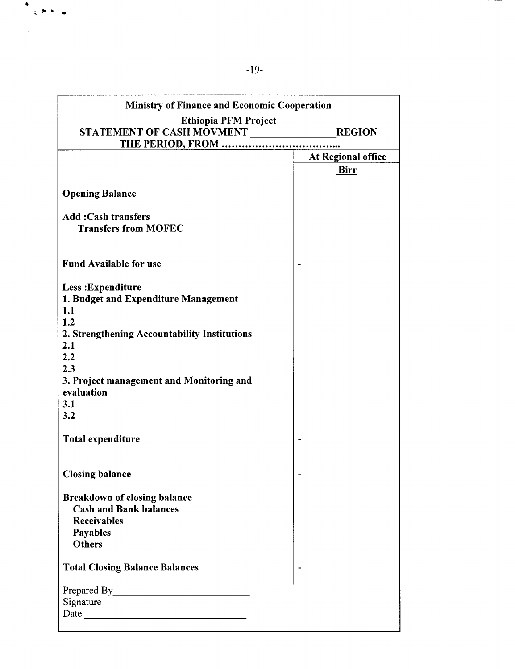| <b>Ministry of Finance and Economic Cooperation</b>      |                    |
|----------------------------------------------------------|--------------------|
| <b>Ethiopia PFM Project</b>                              |                    |
| STATEMENT OF CASH MOVMENT                                | <b>REGION</b>      |
|                                                          |                    |
|                                                          | At Regional office |
|                                                          | <u>Birr</u>        |
| <b>Opening Balance</b>                                   |                    |
| <b>Add:Cash transfers</b><br><b>Transfers from MOFEC</b> |                    |
| <b>Fund Available for use</b>                            |                    |
| Less: Expenditure                                        |                    |
| 1. Budget and Expenditure Management                     |                    |
| 1.1                                                      |                    |
| 1.2                                                      |                    |
| 2. Strengthening Accountability Institutions             |                    |
| 2.1                                                      |                    |
| 2.2<br>2.3                                               |                    |
| 3. Project management and Monitoring and                 |                    |
| evaluation                                               |                    |
| 3.1                                                      |                    |
| 3.2                                                      |                    |
|                                                          |                    |
| <b>Total expenditure</b>                                 |                    |
|                                                          |                    |
|                                                          |                    |
| <b>Closing balance</b>                                   |                    |
| <b>Breakdown of closing balance</b>                      |                    |
| <b>Cash and Bank balances</b>                            |                    |
| <b>Receivables</b>                                       |                    |
| Payables                                                 |                    |
| <b>Others</b>                                            |                    |
|                                                          |                    |
| <b>Total Closing Balance Balances</b>                    |                    |
|                                                          |                    |
| Signature                                                |                    |
|                                                          |                    |
|                                                          |                    |

小床  $\blacksquare$